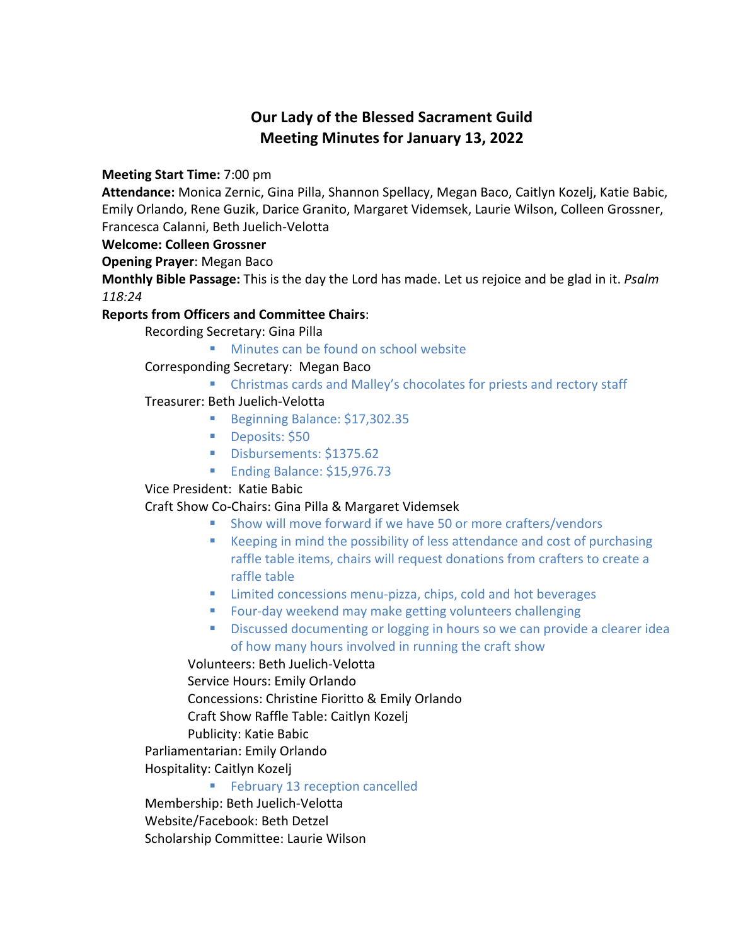# **Our Lady of the Blessed Sacrament Guild Meeting Minutes for January 13, 2022**

**Meeting Start Time:** 7:00 pm

**Attendance:** Monica Zernic, Gina Pilla, Shannon Spellacy, Megan Baco, Caitlyn Kozelj, Katie Babic, Emily Orlando, Rene Guzik, Darice Granito, Margaret Videmsek, Laurie Wilson, Colleen Grossner, Francesca Calanni, Beth Juelich-Velotta

### **Welcome: Colleen Grossner**

**Opening Prayer**: Megan Baco

**Monthly Bible Passage:** This is the day the Lord has made. Let us rejoice and be glad in it. *Psalm 118:24*

### **Reports from Officers and Committee Chairs**:

Recording Secretary: Gina Pilla

■ Minutes can be found on school website

Corresponding Secretary: Megan Baco

■ Christmas cards and Malley's chocolates for priests and rectory staff

### Treasurer: Beth Juelich-Velotta

- Beginning Balance: \$17,302.35
- Deposits: \$50
- § Disbursements: \$1375.62
- Ending Balance: \$15,976.73

# Vice President: Katie Babic

# Craft Show Co-Chairs: Gina Pilla & Margaret Videmsek

- Show will move forward if we have 50 or more crafters/vendors
- Keeping in mind the possibility of less attendance and cost of purchasing raffle table items, chairs will request donations from crafters to create a raffle table
- Limited concessions menu-pizza, chips, cold and hot beverages
- Four-day weekend may make getting volunteers challenging
- **•** Discussed documenting or logging in hours so we can provide a clearer idea of how many hours involved in running the craft show

### Volunteers: Beth Juelich-Velotta

Service Hours: Emily Orlando

Concessions: Christine Fioritto & Emily Orlando

Craft Show Raffle Table: Caitlyn Kozelj

Publicity: Katie Babic

Parliamentarian: Emily Orlando

Hospitality: Caitlyn Kozelj

### ■ February 13 reception cancelled

Membership: Beth Juelich-Velotta

Website/Facebook: Beth Detzel

Scholarship Committee: Laurie Wilson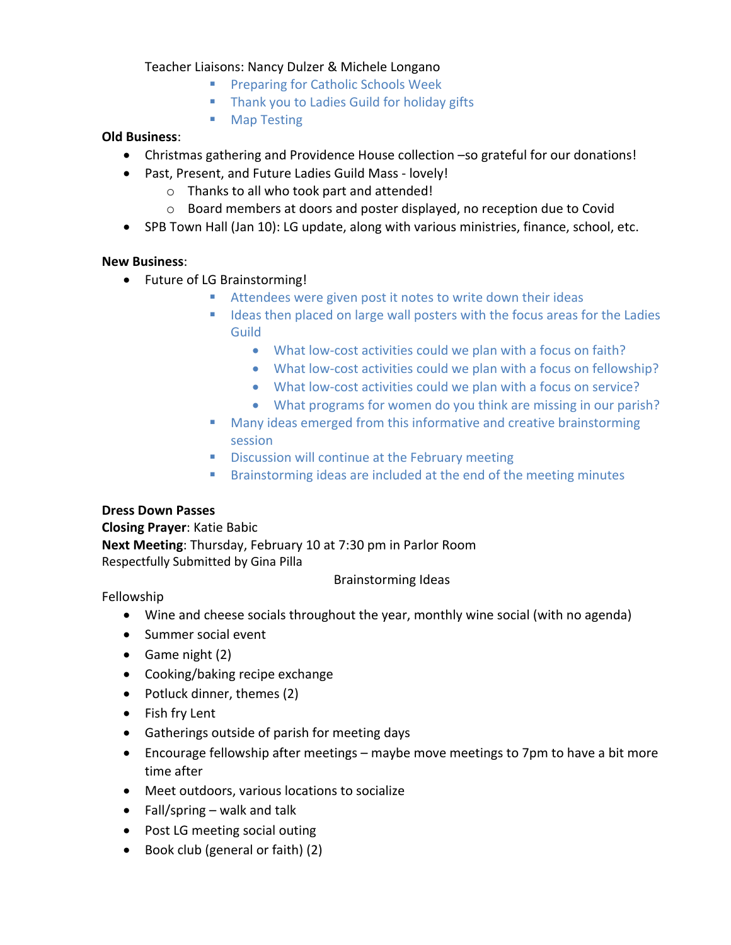### Teacher Liaisons: Nancy Dulzer & Michele Longano

- Preparing for Catholic Schools Week
- **Thank you to Ladies Guild for holiday gifts**
- Map Testing

#### **Old Business**:

- Christmas gathering and Providence House collection –so grateful for our donations!
	- Past, Present, and Future Ladies Guild Mass lovely!
		- o Thanks to all who took part and attended!
		- o Board members at doors and poster displayed, no reception due to Covid
- SPB Town Hall (Jan 10): LG update, along with various ministries, finance, school, etc.

### **New Business**:

- Future of LG Brainstorming!
	- Attendees were given post it notes to write down their ideas
	- Ideas then placed on large wall posters with the focus areas for the Ladies Guild
		- What low-cost activities could we plan with a focus on faith?
		- What low-cost activities could we plan with a focus on fellowship?
		- What low-cost activities could we plan with a focus on service?
		- What programs for women do you think are missing in our parish?
	- Many ideas emerged from this informative and creative brainstorming session
	- **Discussion will continue at the February meeting**
	- Brainstorming ideas are included at the end of the meeting minutes

### **Dress Down Passes**

**Closing Prayer**: Katie Babic **Next Meeting**: Thursday, February 10 at 7:30 pm in Parlor Room Respectfully Submitted by Gina Pilla

#### Brainstorming Ideas

### Fellowship

- Wine and cheese socials throughout the year, monthly wine social (with no agenda)
- Summer social event
- Game night (2)
- Cooking/baking recipe exchange
- Potluck dinner, themes (2)
- Fish fry Lent
- Gatherings outside of parish for meeting days
- Encourage fellowship after meetings maybe move meetings to 7pm to have a bit more time after
- Meet outdoors, various locations to socialize
- Fall/spring walk and talk
- Post LG meeting social outing
- Book club (general or faith) (2)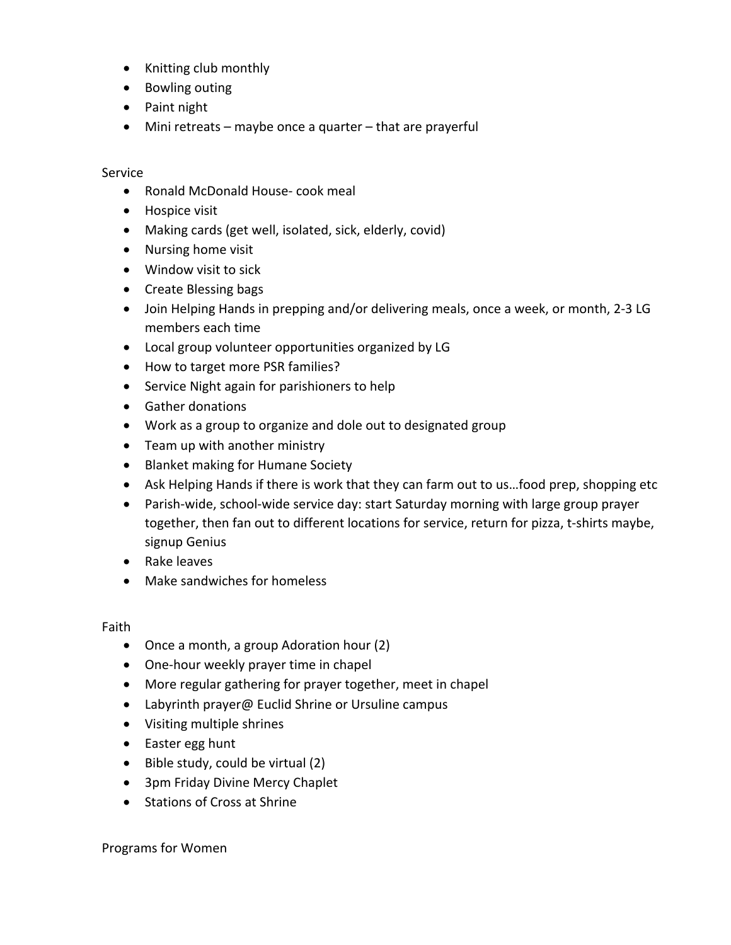- Knitting club monthly
- Bowling outing
- Paint night
- Mini retreats maybe once a quarter that are prayerful

#### Service

- Ronald McDonald House- cook meal
- Hospice visit
- Making cards (get well, isolated, sick, elderly, covid)
- Nursing home visit
- Window visit to sick
- Create Blessing bags
- Join Helping Hands in prepping and/or delivering meals, once a week, or month, 2-3 LG members each time
- Local group volunteer opportunities organized by LG
- How to target more PSR families?
- Service Night again for parishioners to help
- Gather donations
- Work as a group to organize and dole out to designated group
- Team up with another ministry
- Blanket making for Humane Society
- Ask Helping Hands if there is work that they can farm out to us…food prep, shopping etc
- Parish-wide, school-wide service day: start Saturday morning with large group prayer together, then fan out to different locations for service, return for pizza, t-shirts maybe, signup Genius
- Rake leaves
- Make sandwiches for homeless

#### Faith

- Once a month, a group Adoration hour (2)
- One-hour weekly prayer time in chapel
- More regular gathering for prayer together, meet in chapel
- Labyrinth prayer@ Euclid Shrine or Ursuline campus
- Visiting multiple shrines
- Easter egg hunt
- Bible study, could be virtual (2)
- 3pm Friday Divine Mercy Chaplet
- Stations of Cross at Shrine

Programs for Women